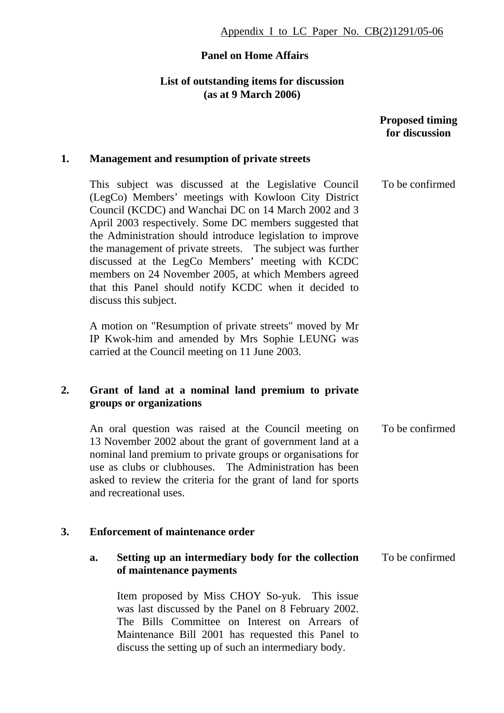# **Panel on Home Affairs**

### **List of outstanding items for discussion (as at 9 March 2006)**

|    |                                                                                                                                                                                                                                                                                                                                                                                                                                                                                                                                                             | <b>Proposed timing</b><br>for discussion |
|----|-------------------------------------------------------------------------------------------------------------------------------------------------------------------------------------------------------------------------------------------------------------------------------------------------------------------------------------------------------------------------------------------------------------------------------------------------------------------------------------------------------------------------------------------------------------|------------------------------------------|
| 1. | <b>Management and resumption of private streets</b>                                                                                                                                                                                                                                                                                                                                                                                                                                                                                                         |                                          |
|    | This subject was discussed at the Legislative Council<br>(LegCo) Members' meetings with Kowloon City District<br>Council (KCDC) and Wanchai DC on 14 March 2002 and 3<br>April 2003 respectively. Some DC members suggested that<br>the Administration should introduce legislation to improve<br>the management of private streets. The subject was further<br>discussed at the LegCo Members' meeting with KCDC<br>members on 24 November 2005, at which Members agreed<br>that this Panel should notify KCDC when it decided to<br>discuss this subject. | To be confirmed                          |
|    | A motion on "Resumption of private streets" moved by Mr<br>IP Kwok-him and amended by Mrs Sophie LEUNG was<br>carried at the Council meeting on 11 June 2003.                                                                                                                                                                                                                                                                                                                                                                                               |                                          |
| 2. | Grant of land at a nominal land premium to private<br>groups or organizations                                                                                                                                                                                                                                                                                                                                                                                                                                                                               |                                          |
|    | An oral question was raised at the Council meeting on<br>13 November 2002 about the grant of government land at a<br>nominal land premium to private groups or organisations for<br>use as clubs or clubhouses. The Administration has been<br>asked to review the criteria for the grant of land for sports<br>and recreational uses                                                                                                                                                                                                                       | To be confirmed                          |
| 3. | <b>Enforcement of maintenance order</b>                                                                                                                                                                                                                                                                                                                                                                                                                                                                                                                     |                                          |
|    | Setting up an intermediary body for the collection<br>a.<br>of maintenance payments                                                                                                                                                                                                                                                                                                                                                                                                                                                                         | To be confirmed                          |
|    | Item proposed by Miss CHOY So-yuk. This issue<br>was last discussed by the Panel on 8 February 2002.<br>The Bills Committee on Interest on Arrears of<br>Maintenance Bill 2001 has requested this Panel to<br>discuss the setting up of such an intermediary body.                                                                                                                                                                                                                                                                                          |                                          |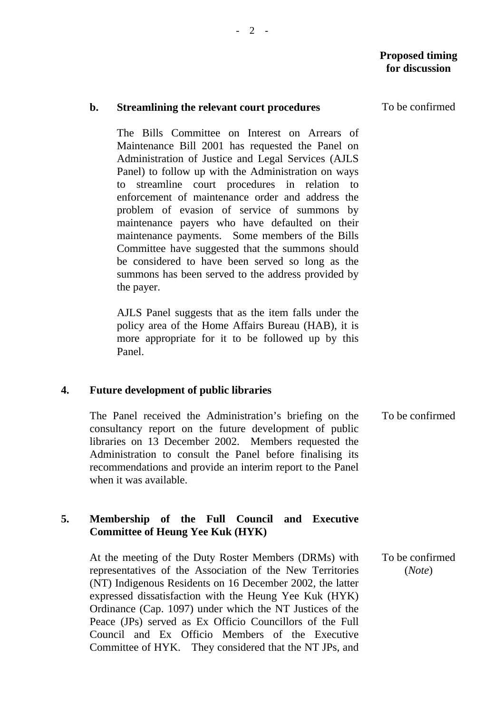#### **b. Streamlining the relevant court procedures**

 The Bills Committee on Interest on Arrears of Maintenance Bill 2001 has requested the Panel on Administration of Justice and Legal Services (AJLS Panel) to follow up with the Administration on ways to streamline court procedures in relation to enforcement of maintenance order and address the problem of evasion of service of summons by maintenance payers who have defaulted on their maintenance payments. Some members of the Bills Committee have suggested that the summons should be considered to have been served so long as the summons has been served to the address provided by the payer.

 AJLS Panel suggests that as the item falls under the policy area of the Home Affairs Bureau (HAB), it is more appropriate for it to be followed up by this Panel.

### **4. Future development of public libraries**

The Panel received the Administration's briefing on the consultancy report on the future development of public libraries on 13 December 2002. Members requested the Administration to consult the Panel before finalising its recommendations and provide an interim report to the Panel when it was available. To be confirmed

### **5. Membership of the Full Council and Executive Committee of Heung Yee Kuk (HYK)**

At the meeting of the Duty Roster Members (DRMs) with representatives of the Association of the New Territories (NT) Indigenous Residents on 16 December 2002, the latter expressed dissatisfaction with the Heung Yee Kuk (HYK) Ordinance (Cap. 1097) under which the NT Justices of the Peace (JPs) served as Ex Officio Councillors of the Full Council and Ex Officio Members of the Executive Committee of HYK. They considered that the NT JPs, and To be confirmed (*Note*)

To be confirmed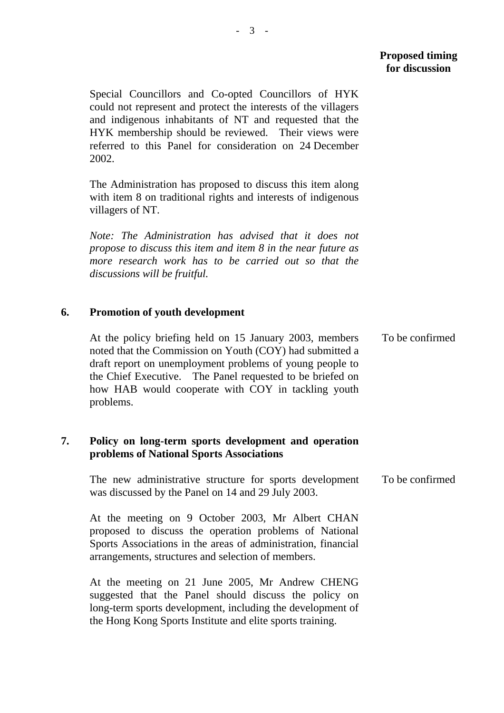Special Councillors and Co-opted Councillors of HYK could not represent and protect the interests of the villagers and indigenous inhabitants of NT and requested that the HYK membership should be reviewed. Their views were referred to this Panel for consideration on 24 December 2002.

The Administration has proposed to discuss this item along with item 8 on traditional rights and interests of indigenous villagers of NT.

*Note: The Administration has advised that it does not propose to discuss this item and item 8 in the near future as more research work has to be carried out so that the discussions will be fruitful.* 

### **6. Promotion of youth development**

At the policy briefing held on 15 January 2003, members noted that the Commission on Youth (COY) had submitted a draft report on unemployment problems of young people to the Chief Executive. The Panel requested to be briefed on how HAB would cooperate with COY in tackling youth problems. To be confirmed

## **7. Policy on long-term sports development and operation problems of National Sports Associations**

The new administrative structure for sports development was discussed by the Panel on 14 and 29 July 2003. To be confirmed

At the meeting on 9 October 2003, Mr Albert CHAN proposed to discuss the operation problems of National Sports Associations in the areas of administration, financial arrangements, structures and selection of members.

At the meeting on 21 June 2005, Mr Andrew CHENG suggested that the Panel should discuss the policy on long-term sports development, including the development of the Hong Kong Sports Institute and elite sports training.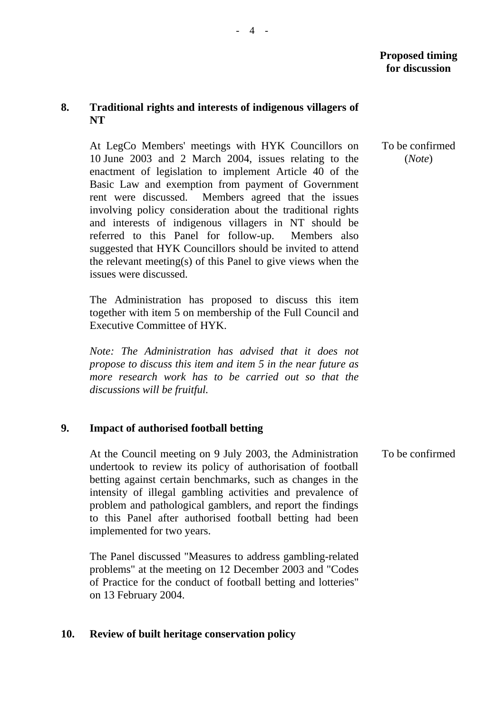## **8. Traditional rights and interests of indigenous villagers of NT**

At LegCo Members' meetings with HYK Councillors on 10 June 2003 and 2 March 2004, issues relating to the enactment of legislation to implement Article 40 of the Basic Law and exemption from payment of Government rent were discussed. Members agreed that the issues involving policy consideration about the traditional rights and interests of indigenous villagers in NT should be referred to this Panel for follow-up. Members also suggested that HYK Councillors should be invited to attend the relevant meeting(s) of this Panel to give views when the issues were discussed.

The Administration has proposed to discuss this item together with item 5 on membership of the Full Council and Executive Committee of HYK.

*Note: The Administration has advised that it does not propose to discuss this item and item 5 in the near future as more research work has to be carried out so that the discussions will be fruitful.* 

### **9. Impact of authorised football betting**

At the Council meeting on 9 July 2003, the Administration undertook to review its policy of authorisation of football betting against certain benchmarks, such as changes in the intensity of illegal gambling activities and prevalence of problem and pathological gamblers, and report the findings to this Panel after authorised football betting had been implemented for two years.

The Panel discussed "Measures to address gambling-related problems" at the meeting on 12 December 2003 and "Codes of Practice for the conduct of football betting and lotteries" on 13 February 2004.

### **10. Review of built heritage conservation policy**

 To be confirmed (*Note*)

To be confirmed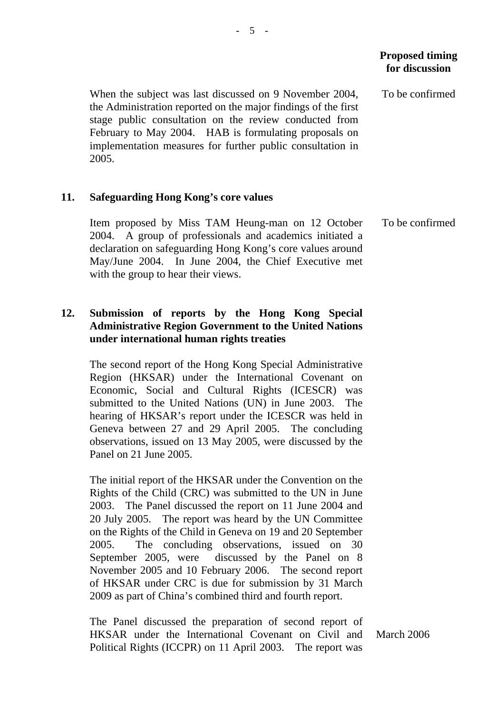To be confirmed

To be confirmed

When the subject was last discussed on 9 November 2004, the Administration reported on the major findings of the first stage public consultation on the review conducted from February to May 2004. HAB is formulating proposals on implementation measures for further public consultation in 2005.

### **11. Safeguarding Hong Kong's core values**

Item proposed by Miss TAM Heung-man on 12 October 2004. A group of professionals and academics initiated a declaration on safeguarding Hong Kong's core values around May/June 2004. In June 2004, the Chief Executive met with the group to hear their views.

## **12. Submission of reports by the Hong Kong Special Administrative Region Government to the United Nations under international human rights treaties**

The second report of the Hong Kong Special Administrative Region (HKSAR) under the International Covenant on Economic, Social and Cultural Rights (ICESCR) was submitted to the United Nations (UN) in June 2003. The hearing of HKSAR's report under the ICESCR was held in Geneva between 27 and 29 April 2005. The concluding observations, issued on 13 May 2005, were discussed by the Panel on 21 June 2005.

The initial report of the HKSAR under the Convention on the Rights of the Child (CRC) was submitted to the UN in June 2003. The Panel discussed the report on 11 June 2004 and 20 July 2005. The report was heard by the UN Committee on the Rights of the Child in Geneva on 19 and 20 September 2005. The concluding observations, issued on 30 September 2005, were discussed by the Panel on 8 November 2005 and 10 February 2006. The second report of HKSAR under CRC is due for submission by 31 March 2009 as part of China's combined third and fourth report.

The Panel discussed the preparation of second report of HKSAR under the International Covenant on Civil and Political Rights (ICCPR) on 11 April 2003. The report was

March 2006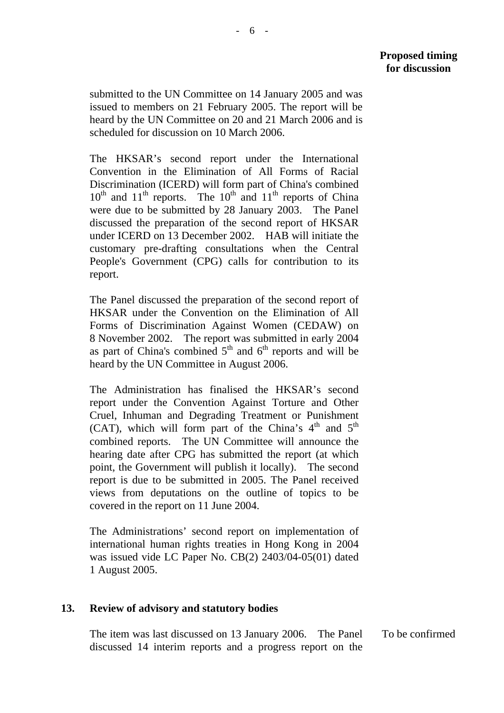submitted to the UN Committee on 14 January 2005 and was issued to members on 21 February 2005. The report will be heard by the UN Committee on 20 and 21 March 2006 and is scheduled for discussion on 10 March 2006.

The HKSAR's second report under the International Convention in the Elimination of All Forms of Racial Discrimination (ICERD) will form part of China's combined  $10<sup>th</sup>$  and  $11<sup>th</sup>$  reports. The  $10<sup>th</sup>$  and  $11<sup>th</sup>$  reports of China were due to be submitted by 28 January 2003. The Panel discussed the preparation of the second report of HKSAR under ICERD on 13 December 2002. HAB will initiate the customary pre-drafting consultations when the Central People's Government (CPG) calls for contribution to its report.

The Panel discussed the preparation of the second report of HKSAR under the Convention on the Elimination of All Forms of Discrimination Against Women (CEDAW) on 8 November 2002. The report was submitted in early 2004 as part of China's combined  $5<sup>th</sup>$  and  $6<sup>th</sup>$  reports and will be heard by the UN Committee in August 2006.

The Administration has finalised the HKSAR's second report under the Convention Against Torture and Other Cruel, Inhuman and Degrading Treatment or Punishment (CAT), which will form part of the China's  $4<sup>th</sup>$  and  $5<sup>th</sup>$ combined reports. The UN Committee will announce the hearing date after CPG has submitted the report (at which point, the Government will publish it locally). The second report is due to be submitted in 2005. The Panel received views from deputations on the outline of topics to be covered in the report on 11 June 2004.

The Administrations' second report on implementation of international human rights treaties in Hong Kong in 2004 was issued vide LC Paper No. CB(2) 2403/04-05(01) dated 1 August 2005.

### **13. Review of advisory and statutory bodies**

The item was last discussed on 13 January 2006. The Panel discussed 14 interim reports and a progress report on the To be confirmed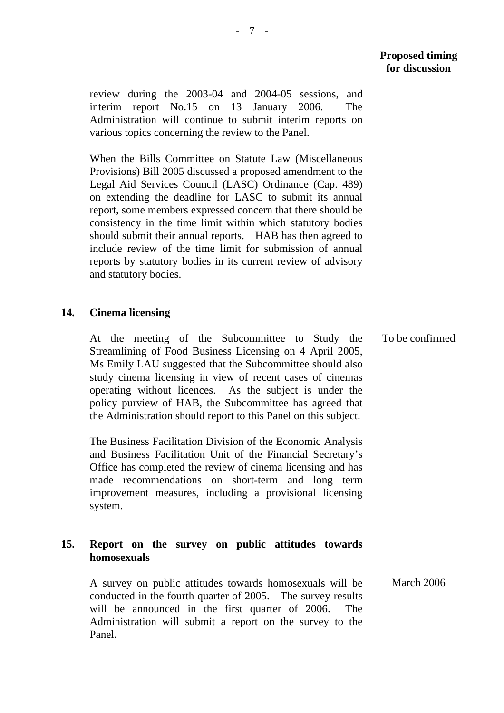review during the 2003-04 and 2004-05 sessions, and interim report No.15 on 13 January 2006. The Administration will continue to submit interim reports on various topics concerning the review to the Panel.

When the Bills Committee on Statute Law (Miscellaneous Provisions) Bill 2005 discussed a proposed amendment to the Legal Aid Services Council (LASC) Ordinance (Cap. 489) on extending the deadline for LASC to submit its annual report, some members expressed concern that there should be consistency in the time limit within which statutory bodies should submit their annual reports. HAB has then agreed to include review of the time limit for submission of annual reports by statutory bodies in its current review of advisory and statutory bodies.

### **14. Cinema licensing**

At the meeting of the Subcommittee to Study the Streamlining of Food Business Licensing on 4 April 2005, Ms Emily LAU suggested that the Subcommittee should also study cinema licensing in view of recent cases of cinemas operating without licences. As the subject is under the policy purview of HAB, the Subcommittee has agreed that the Administration should report to this Panel on this subject.

The Business Facilitation Division of the Economic Analysis and Business Facilitation Unit of the Financial Secretary's Office has completed the review of cinema licensing and has made recommendations on short-term and long term improvement measures, including a provisional licensing system.

### **15. Report on the survey on public attitudes towards homosexuals**

A survey on public attitudes towards homosexuals will be conducted in the fourth quarter of 2005. The survey results will be announced in the first quarter of 2006. The Administration will submit a report on the survey to the Panel. March 2006

To be confirmed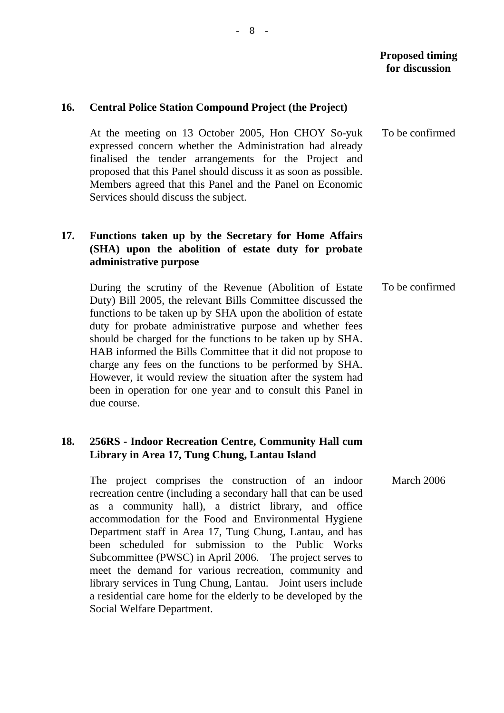### **16. Central Police Station Compound Project (the Project)**

At the meeting on 13 October 2005, Hon CHOY So-yuk expressed concern whether the Administration had already finalised the tender arrangements for the Project and proposed that this Panel should discuss it as soon as possible. Members agreed that this Panel and the Panel on Economic Services should discuss the subject.

## **17. Functions taken up by the Secretary for Home Affairs (SHA) upon the abolition of estate duty for probate administrative purpose**

During the scrutiny of the Revenue (Abolition of Estate Duty) Bill 2005, the relevant Bills Committee discussed the functions to be taken up by SHA upon the abolition of estate duty for probate administrative purpose and whether fees should be charged for the functions to be taken up by SHA. HAB informed the Bills Committee that it did not propose to charge any fees on the functions to be performed by SHA. However, it would review the situation after the system had been in operation for one year and to consult this Panel in due course.

## **18. 256RS - Indoor Recreation Centre, Community Hall cum Library in Area 17, Tung Chung, Lantau Island**

The project comprises the construction of an indoor recreation centre (including a secondary hall that can be used as a community hall), a district library, and office accommodation for the Food and Environmental Hygiene Department staff in Area 17, Tung Chung, Lantau, and has been scheduled for submission to the Public Works Subcommittee (PWSC) in April 2006. The project serves to meet the demand for various recreation, community and library services in Tung Chung, Lantau. Joint users include a residential care home for the elderly to be developed by the Social Welfare Department.

To be confirmed

To be confirmed

March 2006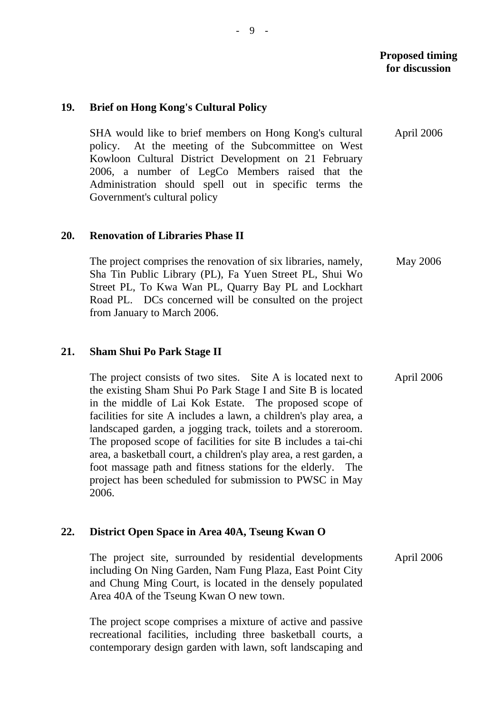### **19. Brief on Hong Kong's Cultural Policy**

SHA would like to brief members on Hong Kong's cultural policy. At the meeting of the Subcommittee on West Kowloon Cultural District Development on 21 February 2006, a number of LegCo Members raised that the Administration should spell out in specific terms the Government's cultural policy April 2006

### **20. Renovation of Libraries Phase II**

The project comprises the renovation of six libraries, namely, Sha Tin Public Library (PL), Fa Yuen Street PL, Shui Wo Street PL, To Kwa Wan PL, Quarry Bay PL and Lockhart Road PL. DCs concerned will be consulted on the project from January to March 2006. May 2006

### **21. Sham Shui Po Park Stage II**

The project consists of two sites. Site A is located next to the existing Sham Shui Po Park Stage I and Site B is located in the middle of Lai Kok Estate. The proposed scope of facilities for site A includes a lawn, a children's play area, a landscaped garden, a jogging track, toilets and a storeroom. The proposed scope of facilities for site B includes a tai-chi area, a basketball court, a children's play area, a rest garden, a foot massage path and fitness stations for the elderly. The project has been scheduled for submission to PWSC in May 2006. April 2006

### **22. District Open Space in Area 40A, Tseung Kwan O**

The project site, surrounded by residential developments including On Ning Garden, Nam Fung Plaza, East Point City and Chung Ming Court, is located in the densely populated Area 40A of the Tseung Kwan O new town. April 2006

The project scope comprises a mixture of active and passive recreational facilities, including three basketball courts, a contemporary design garden with lawn, soft landscaping and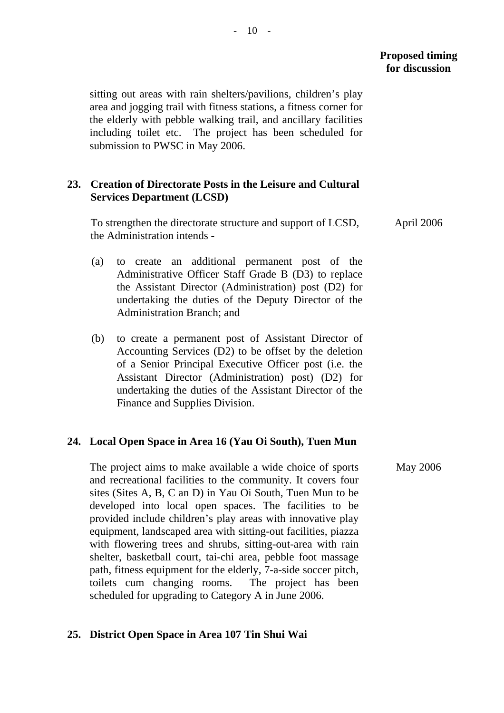sitting out areas with rain shelters/pavilions, children's play area and jogging trail with fitness stations, a fitness corner for the elderly with pebble walking trail, and ancillary facilities including toilet etc. The project has been scheduled for submission to PWSC in May 2006.

### **23. Creation of Directorate Posts in the Leisure and Cultural Services Department (LCSD)**

To strengthen the directorate structure and support of LCSD, the Administration intends -

- (a) to create an additional permanent post of the Administrative Officer Staff Grade B (D3) to replace the Assistant Director (Administration) post (D2) for undertaking the duties of the Deputy Director of the Administration Branch; and
- (b) to create a permanent post of Assistant Director of Accounting Services (D2) to be offset by the deletion of a Senior Principal Executive Officer post (i.e. the Assistant Director (Administration) post) (D2) for undertaking the duties of the Assistant Director of the Finance and Supplies Division.

### **24. Local Open Space in Area 16 (Yau Oi South), Tuen Mun**

The project aims to make available a wide choice of sports and recreational facilities to the community. It covers four sites (Sites A, B, C an D) in Yau Oi South, Tuen Mun to be developed into local open spaces. The facilities to be provided include children's play areas with innovative play equipment, landscaped area with sitting-out facilities, piazza with flowering trees and shrubs, sitting-out-area with rain shelter, basketball court, tai-chi area, pebble foot massage path, fitness equipment for the elderly, 7-a-side soccer pitch, toilets cum changing rooms. The project has been scheduled for upgrading to Category A in June 2006.

#### **25. District Open Space in Area 107 Tin Shui Wai**

April 2006

May 2006